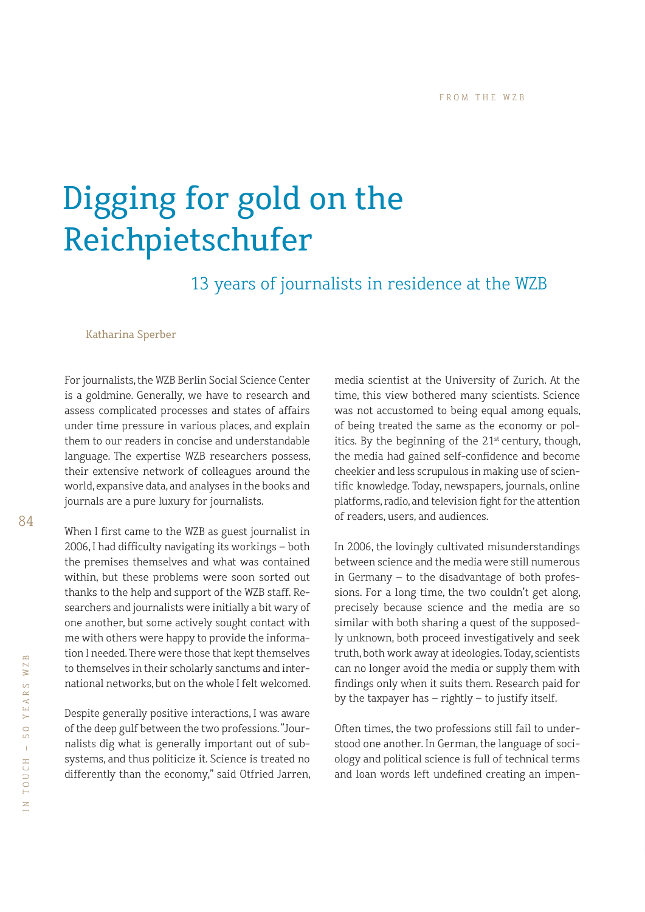## Digging for gold on the Reichpietschufer

13 years of journalists in residence at the WZB

Katharina Sperber

For journalists, the WZB Berlin Social Science Center is a goldmine. Generally, we have to research and assess complicated processes and states of affairs under time pressure in various places, and explain them to our readers in concise and understandable language. The expertise WZB researchers possess, their extensive network of colleagues around the world, expansive data, and analyses in the books and journals are a pure luxury for journalists.

When I first came to the WZB as guest journalist in 2006, I had difficulty navigating its workings - both the premises themselves and what was contained within, but these problems were soon sorted out thanks to the help and support of the WZB staff. Researchers and journalists were initially a bit wary of one another, but some actively sought contact with me with others were happy to provide the information I needed. There were those that kept themselves to themselves in their scholarly sanctums and international networks, but on the whole I felt welcomed.

Despite generally positive interactions, I was aware of the deep gulf between the two professions. "Journalists dig what is generally important out of subsystems, and thus politicize it. Science is treated no differently than the economy," said Otfried Jarren,

media scientist at the University of Zurich. At the time, this view bothered many scientists. Science was not accustomed to being equal among equals, of being treated the same as the economy or politics. By the beginning of the  $21<sup>st</sup>$  century, though, the media had gained self-confidence and become cheekier and less scrupulous in making use of scientific knowledge. Today, newspapers, journals, online platforms, radio, and television fight for the attention of readers, users, and audiences.

In 2006, the lovingly cultivated misunderstandings between science and the media were still numerous in Germany – to the disadvantage of both professions. For a long time, the two couldn't get along, precisely because science and the media are so similar with both sharing a quest of the supposedly unknown, both proceed investigatively and seek truth, both work away at ideologies. Today, scientists can no longer avoid the media or supply them with findings only when it suits them. Research paid for by the taxpayer has – rightly – to justify itself.

Often times, the two professions still fail to understood one another. In German, the language of sociology and political science is full of technical terms and loan words left undefined creating an impen